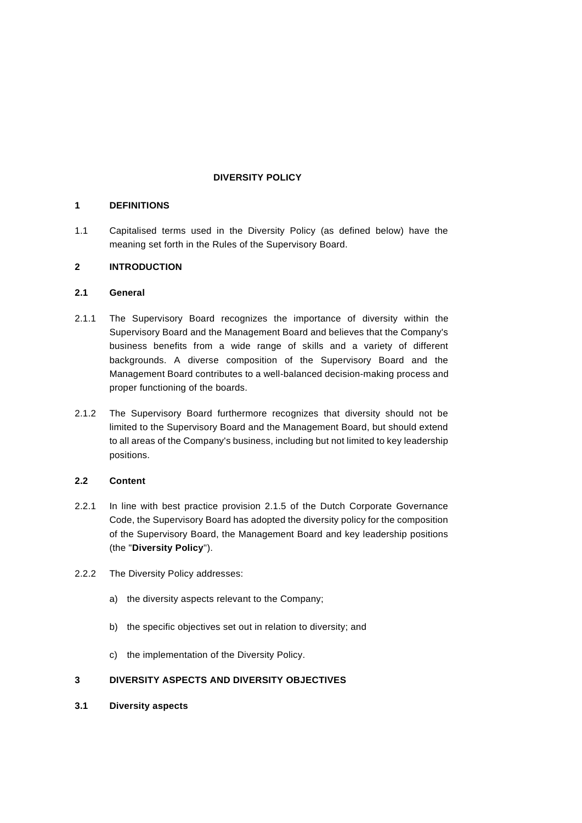## **DIVERSITY POLICY**

### **1 DEFINITIONS**

1.1 Capitalised terms used in the Diversity Policy (as defined below) have the meaning set forth in the Rules of the Supervisory Board.

# **2 INTRODUCTION**

### **2.1 General**

- 2.1.1 The Supervisory Board recognizes the importance of diversity within the Supervisory Board and the Management Board and believes that the Company's business benefits from a wide range of skills and a variety of different backgrounds. A diverse composition of the Supervisory Board and the Management Board contributes to a well-balanced decision-making process and proper functioning of the boards.
- 2.1.2 The Supervisory Board furthermore recognizes that diversity should not be limited to the Supervisory Board and the Management Board, but should extend to all areas of the Company's business, including but not limited to key leadership positions.

# **2.2 Content**

- 2.2.1 In line with best practice provision 2.1.5 of the Dutch Corporate Governance Code, the Supervisory Board has adopted the diversity policy for the composition of the Supervisory Board, the Management Board and key leadership positions (the "**Diversity Policy**").
- 2.2.2 The Diversity Policy addresses:
	- a) the diversity aspects relevant to the Company;
	- b) the specific objectives set out in relation to diversity; and
	- c) the implementation of the Diversity Policy.

# **3 DIVERSITY ASPECTS AND DIVERSITY OBJECTIVES**

**3.1 Diversity aspects**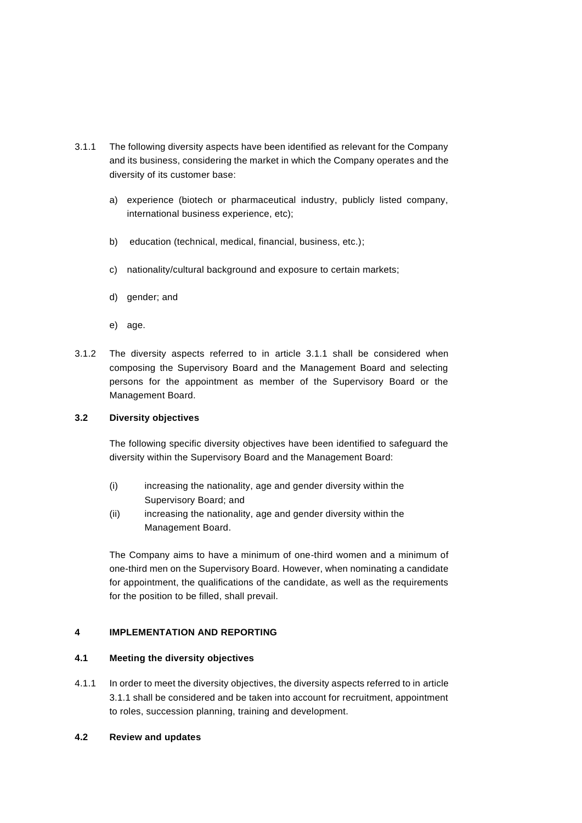- 3.1.1 The following diversity aspects have been identified as relevant for the Company and its business, considering the market in which the Company operates and the diversity of its customer base:
	- a) experience (biotech or pharmaceutical industry, publicly listed company, international business experience, etc);
	- b) education (technical, medical, financial, business, etc.);
	- c) nationality/cultural background and exposure to certain markets;
	- d) gender; and
	- e) age.
- 3.1.2 The diversity aspects referred to in article 3.1.1 shall be considered when composing the Supervisory Board and the Management Board and selecting persons for the appointment as member of the Supervisory Board or the Management Board.

### <span id="page-1-0"></span>**3.2 Diversity objectives**

The following specific diversity objectives have been identified to safeguard the diversity within the Supervisory Board and the Management Board:

- (i) increasing the nationality, age and gender diversity within the Supervisory Board; and
- (ii) increasing the nationality, age and gender diversity within the Management Board.

The Company aims to have a minimum of one-third women and a minimum of one-third men on the Supervisory Board. However, when nominating a candidate for appointment, the qualifications of the candidate, as well as the requirements for the position to be filled, shall prevail.

# **4 IMPLEMENTATION AND REPORTING**

### **4.1 Meeting the diversity objectives**

- 4.1.1 In order to meet the diversity objectives, the diversity aspects referred to in article 3.1.1 shall be considered and be taken into account for recruitment, appointment to roles, succession planning, training and development.
- **4.2 Review and updates**